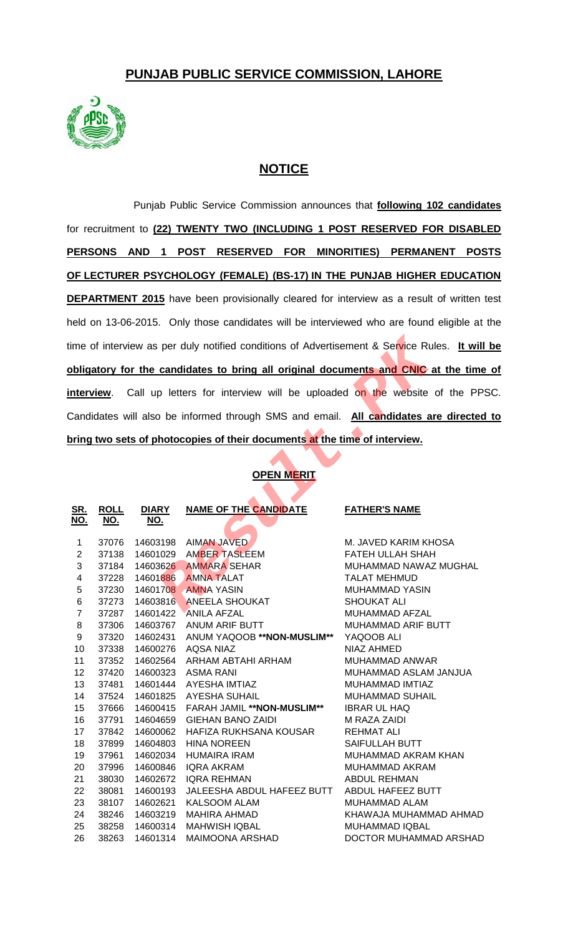# **PUNJAB PUBLIC SERVICE COMMISSION, LAHORE**



## **NOTICE**

Punjab Public Service Commission announces that **following 102 candidates** for recruitment to **(22) TWENTY TWO (INCLUDING 1 POST RESERVED FOR DISABLED PERSONS AND 1 POST RESERVED FOR MINORITIES) PERMANENT POSTS OF LECTURER PSYCHOLOGY (FEMALE) (BS-17) IN THE PUNJAB HIGHER EDUCATION DEPARTMENT 2015** have been provisionally cleared for interview as a result of written test held on 13-06-2015. Only those candidates will be interviewed who are found eligible at the time of interview as per duly notified conditions of Advertisement & Service Rules. **It will be obligatory for the candidates to bring all original documents and CNIC at the time of interview**. Call up letters for interview will be uploaded on the website of the PPSC. Candidates will also be informed through SMS and email. **All candidates are directed to bring two sets of photocopies of their documents at the time of interview.**

### **OPEN MERIT**

| me of interview as per duly notified conditions of Advertisement & Service Rules. It will |             |              |                                                                                   |                         |  |
|-------------------------------------------------------------------------------------------|-------------|--------------|-----------------------------------------------------------------------------------|-------------------------|--|
| bligatory for the candidates to bring all original documents and CNIC at the time         |             |              |                                                                                   |                         |  |
| nterview. Call up letters for interview will be uploaded on the website of the PPS        |             |              |                                                                                   |                         |  |
| Candidates will also be informed through SMS and email. All candidates are directed       |             |              |                                                                                   |                         |  |
|                                                                                           |             |              | <u>oring two sets of photocopies of their documents at the time of interview.</u> |                         |  |
|                                                                                           |             |              |                                                                                   |                         |  |
|                                                                                           |             |              | <b>OPEN MERIT</b>                                                                 |                         |  |
| <u>SR.</u>                                                                                | <b>ROLL</b> | <b>DIARY</b> | <b>NAME OF THE CANDIDATE</b>                                                      | <b>FATHER'S NAME</b>    |  |
| NO.                                                                                       | <u>NO.</u>  | <u>NO.</u>   |                                                                                   |                         |  |
| 1                                                                                         | 37076       | 14603198     | <b>AIMAN JAVED</b>                                                                | M. JAVED KARIM KHOSA    |  |
| $\overline{2}$                                                                            | 37138       | 14601029     | <b>AMBER TASLEEM</b>                                                              | <b>FATEH ULLAH SHAH</b> |  |
| 3                                                                                         | 37184       | 14603626     | <b>AMMARA SEHAR</b>                                                               | MUHAMMAD NAWAZ MUGHAL   |  |
| $\overline{\mathbf{4}}$                                                                   | 37228       | 14601886     | <b>AMNA TALAT</b>                                                                 | <b>TALAT MEHMUD</b>     |  |
| $\,$ 5 $\,$                                                                               | 37230       | 14601708     | <b>AMNA YASIN</b>                                                                 | <b>MUHAMMAD YASIN</b>   |  |
| 6                                                                                         | 37273       | 14603816     | <b>ANEELA SHOUKAT</b>                                                             | <b>SHOUKAT ALI</b>      |  |
| $\overline{7}$                                                                            | 37287       | 14601422     | <b>ANILA AFZAL</b>                                                                | MUHAMMAD AFZAL          |  |
| 8                                                                                         | 37306       | 14603767     | ANUM ARIF BUTT                                                                    | MUHAMMAD ARIF BUTT      |  |
| 9                                                                                         | 37320       | 14602431     | ANUM YAQOOB ** NON-MUSLIM**                                                       | YAQOOB ALI              |  |
| 10                                                                                        | 37338       | 14600276     | AQSA NIAZ                                                                         | NIAZ AHMED              |  |
| 11                                                                                        | 37352       | 14602564     | ARHAM ABTAHI ARHAM                                                                | <b>MUHAMMAD ANWAR</b>   |  |
| 12                                                                                        | 37420       |              | 14600323 ASMA RANI                                                                | MUHAMMAD ASLAM JANJUA   |  |
| 13                                                                                        | 37481       | 14601444     | AYESHA IMTIAZ                                                                     | MUHAMMAD IMTIAZ         |  |
| 14                                                                                        | 37524       | 14601825     | <b>AYESHA SUHAIL</b>                                                              | <b>MUHAMMAD SUHAIL</b>  |  |
| 15                                                                                        | 37666       | 14600415     | <b>FARAH JAMIL **NON-MUSLIM**</b>                                                 | <b>IBRAR UL HAQ</b>     |  |
| 16                                                                                        | 37791       | 14604659     | <b>GIEHAN BANO ZAIDI</b>                                                          | M RAZA ZAIDI            |  |
| 17                                                                                        | 37842       | 14600062     | HAFIZA RUKHSANA KOUSAR                                                            | <b>REHMAT ALI</b>       |  |
| 18                                                                                        | 37899       | 14604803     | <b>HINA NOREEN</b>                                                                | <b>SAIFULLAH BUTT</b>   |  |
| 19                                                                                        | 37961       |              | 14602034 HUMAIRA IRAM                                                             | MUHAMMAD AKRAM KHAN     |  |
| 20                                                                                        | 37996       | 14600846     | IQRA AKRAM                                                                        | MUHAMMAD AKRAM          |  |
| 21                                                                                        | 38030       | 14602672     | IQRA REHMAN                                                                       | <b>ABDUL REHMAN</b>     |  |
| 22                                                                                        | 38081       | 14600193     | JALEESHA ABDUL HAFEEZ BUTT                                                        | ABDUL HAFEEZ BUTT       |  |
| 23                                                                                        | 38107       | 14602621     | <b>KALSOOM ALAM</b>                                                               | MUHAMMAD ALAM           |  |
| 24                                                                                        | 38246       | 14603219     | <b>MAHIRA AHMAD</b>                                                               | KHAWAJA MUHAMMAD AHMAD  |  |
| 25                                                                                        | 38258       | 14600314     | <b>MAHWISH IQBAL</b>                                                              | MUHAMMAD IQBAL          |  |
| 26                                                                                        | 38263       | 14601314     | MAIMOONA ARSHAD                                                                   | DOCTOR MUHAMMAD ARSHAD  |  |
|                                                                                           |             |              |                                                                                   |                         |  |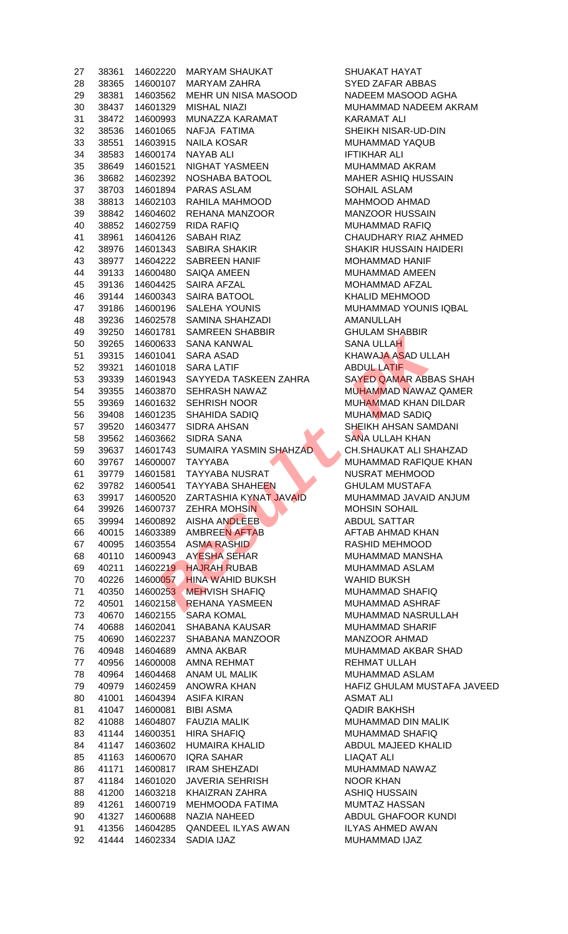| 27 | 38361 | 14602220 | <b>MARYAM SHAUKAT</b>     | SHUAKAT HAYAT           |
|----|-------|----------|---------------------------|-------------------------|
| 28 | 38365 | 14600107 | <b>MARYAM ZAHRA</b>       | <b>SYED ZAFAR ABBAS</b> |
| 29 | 38381 | 14603562 | MEHR UN NISA MASOOD       | NADEEM MASOOD /         |
| 30 | 38437 | 14601329 | <b>MISHAL NIAZI</b>       | MUHAMMAD NADEE          |
| 31 | 38472 | 14600993 | MUNAZZA KARAMAT           | <b>KARAMAT ALI</b>      |
| 32 | 38536 | 14601065 | NAFJA FATIMA              | SHEIKH NISAR-UD-D       |
| 33 | 38551 | 14603915 | <b>NAILA KOSAR</b>        | MUHAMMAD YAQUE          |
| 34 | 38583 | 14600174 | <b>NAYAB ALI</b>          | <b>IFTIKHAR ALI</b>     |
| 35 | 38649 | 14601521 | NIGHAT YASMEEN            | MUHAMMAD AKRAM          |
| 36 | 38682 | 14602392 | NOSHABA BATOOL            | <b>MAHER ASHIQ HUS</b>  |
| 37 | 38703 | 14601894 | PARAS ASLAM               | SOHAIL ASLAM            |
| 38 | 38813 | 14602103 | RAHILA MAHMOOD            | MAHMOOD AHMAD           |
| 39 | 38842 | 14604602 | REHANA MANZOOR            | <b>MANZOOR HUSSAIN</b>  |
| 40 | 38852 | 14602759 | <b>RIDA RAFIQ</b>         | MUHAMMAD RAFIQ          |
| 41 | 38961 | 14604126 | SABAH RIAZ                | CHAUDHARY RIAZ /        |
| 42 | 38976 | 14601343 | <b>SABIRA SHAKIR</b>      | SHAKIR HUSSAIN H.       |
| 43 | 38977 | 14604222 | <b>SABREEN HANIF</b>      | MOHAMMAD HANIF          |
| 44 | 39133 | 14600480 | SAIQA AMEEN               | MUHAMMAD AMEEN          |
| 45 | 39136 | 14604425 | SAIRA AFZAL               | MOHAMMAD AFZAL          |
| 46 | 39144 | 14600343 | SAIRA BATOOL              | KHALID MEHMOOD          |
| 47 | 39186 | 14600196 | SALEHA YOUNIS             | MUHAMMAD YOUNI          |
| 48 | 39236 | 14602578 | SAMINA SHAHZADI           | AMANULLAH               |
| 49 | 39250 | 14601781 | <b>SAMREEN SHABBIR</b>    | <b>GHULAM SHABBIR</b>   |
| 50 | 39265 | 14600633 | <b>SANA KANWAL</b>        | SANA ULLAH              |
| 51 | 39315 | 14601041 | <b>SARA ASAD</b>          | <b>KHAWAJA ASAD ULI</b> |
| 52 | 39321 | 14601018 | <b>SARA LATIF</b>         | <b>ABDUL LATIF</b>      |
| 53 | 39339 | 14601943 | SAYYEDA TASKEEN ZAHRA     | <b>SAYED QAMAR ABB</b>  |
| 54 | 39355 | 14603870 | SEHRASH NAWAZ             | MUHAMMAD NAWAZ          |
| 55 | 39369 | 14601632 | <b>SEHRISH NOOR</b>       | MUHAMMAD KHAN I         |
| 56 | 39408 | 14601235 | SHAHIDA SADIQ             | MUHAMMAD SADIQ          |
| 57 | 39520 | 14603477 | <b>SIDRA AHSAN</b>        | SHEIKH AHSAN SAN        |
| 58 | 39562 | 14603662 | <b>SIDRA SANA</b>         | <b>SANA ULLAH KHAN</b>  |
| 59 | 39637 | 14601743 | SUMAIRA YASMIN SHAHZAD    | CH.SHAUKAT ALI SI       |
| 60 | 39767 | 14600007 | <b>TAYYABA</b>            | MUHAMMAD RAFIQI         |
| 61 | 39779 | 14601581 | <b>TAYYABA NUSRAT</b>     | <b>NUSRAT MEHMOOD</b>   |
| 62 | 39782 | 14600541 | <b>TAYYABA SHAHEEN</b>    | <b>GHULAM MUSTAFA</b>   |
| 63 | 39917 | 14600520 | ZARTASHIA KYNAT JAVAID    | MUHAMMAD JAVAID         |
| 64 | 39926 | 14600737 | <b>ZEHRA MOHSIN</b>       | <b>MOHSIN SOHAIL</b>    |
| 65 | 39994 | 14600892 | AISHA ANDLEEB             | <b>ABDUL SATTAR</b>     |
| 66 | 40015 | 14603389 | <b>AMBREEN AFTAB</b>      | AFTAB AHMAD KHA         |
| 67 | 40095 | 14603554 | <b>ASMA RASHID</b>        | RASHID MEHMOOD          |
| 68 | 40110 | 14600943 | <b>AYESHA SEHAR</b>       | MUHAMMAD MANSH          |
| 69 | 40211 | 14602219 | <b>HAJRAH RUBAB</b>       | MUHAMMAD ASLAM          |
| 70 | 40226 | 14600057 | <b>HINA WAHID BUKSH</b>   | <b>WAHID BUKSH</b>      |
| 71 | 40350 | 14600253 | <b>MEHVISH SHAFIQ</b>     | MUHAMMAD SHAFIO         |
| 72 | 40501 | 14602158 | <b>REHANA YASMEEN</b>     | MUHAMMAD ASHRA          |
| 73 | 40670 | 14602155 | <b>SARA KOMAL</b>         | MUHAMMAD NASRL          |
| 74 | 40688 | 14602041 | SHABANA KAUSAR            | <b>MUHAMMAD SHARII</b>  |
| 75 | 40690 | 14602237 | SHABANA MANZOOR           | MANZOOR AHMAD           |
| 76 | 40948 | 14604689 | AMNA AKBAR                | MUHAMMAD AKBAR          |
| 77 | 40956 | 14600008 | AMNA REHMAT               | <b>REHMAT ULLAH</b>     |
| 78 | 40964 | 14604468 | ANAM UL MALIK             | MUHAMMAD ASLAM          |
| 79 | 40979 | 14602459 | ANOWRA KHAN               | HAFIZ GHULAM MUS        |
| 80 | 41001 | 14604394 | <b>ASIFA KIRAN</b>        | <b>ASMAT ALI</b>        |
| 81 | 41047 | 14600081 | <b>BIBI ASMA</b>          | <b>QADIR BAKHSH</b>     |
| 82 | 41088 | 14604807 | <b>FAUZIA MALIK</b>       | MUHAMMAD DIN MA         |
| 83 | 41144 | 14600351 | <b>HIRA SHAFIQ</b>        | <b>MUHAMMAD SHAFI</b>   |
| 84 | 41147 | 14603602 | <b>HUMAIRA KHALID</b>     | ABDUL MAJEED KH         |
| 85 | 41163 | 14600670 | <b>IQRA SAHAR</b>         | <b>LIAQAT ALI</b>       |
| 86 | 41171 | 14600817 | <b>IRAM SHEHZADI</b>      | MUHAMMAD NAWAZ          |
| 87 | 41184 | 14601020 | <b>JAVERIA SEHRISH</b>    | <b>NOOR KHAN</b>        |
| 88 | 41200 | 14603218 | KHAIZRAN ZAHRA            | ASHIQ HUSSAIN           |
| 89 | 41261 | 14600719 | MEHMOODA FATIMA           | MUMTAZ HASSAN           |
| 90 | 41327 | 14600688 | NAZIA NAHEED              | <b>ABDUL GHAFOOR K</b>  |
| 91 | 41356 | 14604285 | <b>QANDEEL ILYAS AWAN</b> | <b>ILYAS AHMED AWAI</b> |
|    |       | 14602334 | SADIA IJAZ                | MUHAMMAD IJAZ           |
| 92 | 41444 |          |                           |                         |

SHUAKAT HAYAT **SYED ZAFAR ABBAS** NADEEM MASOOD AGHA MUHAMMAD NADEEM AKRAM **KARAMAT ALI** SHEIKH NISAR-UD-DIN MUHAMMAD YAQUB **IFTIKHAR ALI** MUHAMMAD AKRAM MAHER ASHIQ HUSSAIN SOHAIL ASLAM MAHMOOD AHMAD MANZOOR HUSSAIN MUHAMMAD RAFIQ CHAUDHARY RIAZ AHMED SHAKIR HUSSAIN HAIDERI MOHAMMAD HANIF MUHAMMAD AMEEN MOHAMMAD AFZAL KHALID MEHMOOD MUHAMMAD YOUNIS IQBAL AMANULLAH **GHULAM SHABBIR** SANA ULLAH KHAWAJA ASAD ULLAH **ABDUL LATIF** SAYED QAMAR ABBAS SHAH MUHAMMAD NAWAZ QAMER MUHAMMAD KHAN DILDAR MUHAMMAD SADIQ SHEIKH AHSAN SAMDANI SANA ULLAH KHAN CH.SHAUKAT ALI SHAHZAD MUHAMMAD RAFIQUE KHAN NUSRAT MEHMOOD **GHULAM MUSTAFA** MUHAMMAD JAVAID ANJUM MOHSIN SOHAIL ABDUL SATTAR AFTAB AHMAD KHAN RASHID MEHMOOD MUHAMMAD MANSHA MUHAMMAD ASLAM WAHID BUKSH MUHAMMAD SHAFIQ MUHAMMAD ASHRAF MUHAMMAD NASRULLAH MUHAMMAD SHARIF MANZOOR AHMAD MUHAMMAD AKBAR SHAD REHMAT ULLAH MUHAMMAD ASLAM HAFIZ GHULAM MUSTAFA JAVEED **ASMAT ALI QADIR BAKHSH** MUHAMMAD DIN MALIK **MUHAMMAD SHAFIQ** ABDUL MAJEED KHALID LIAQAT ALI MUHAMMAD NAWAZ NOOR KHAN ASHIQ HUSSAIN MUMTAZ HASSAN ABDUL GHAFOOR KUNDI ILYAS AHMED AWAN MUHAMMAD IJAZ